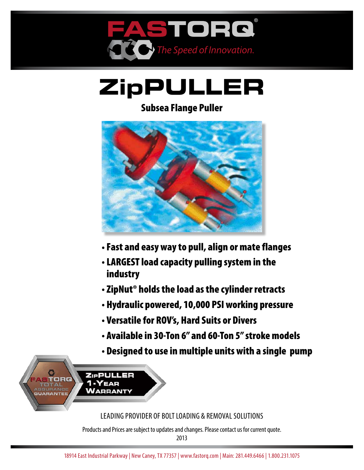

# **ZipPULLER**

### Subsea Flange Puller



- Fast and easy way to pull, align or mate flanges
- •LARGEST load capacity pulling system in the industry
- ZipNut® holds the load as the cylinder retracts
- Hydraulic powered, 10,000 PSI working pressure
- Versatile for ROV's, Hard Suits or Divers
- Available in 30-Ton 6" and 60-Ton 5" stroke models
- Designed to use in multiple units with a single pump



Leading provider of bolt loading & removal solutions

Products and Prices are subject to updates and changes. Please contact us for current quote.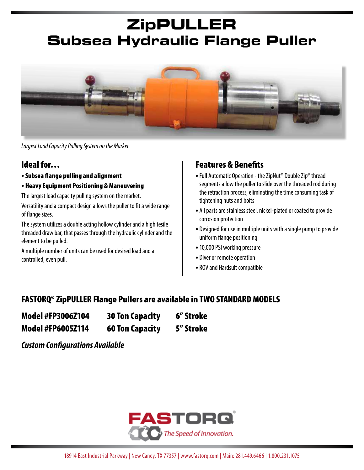### **ZipPULLER Subsea Hydraulic Flange Puller**



*Largest Load Capacity Pulling System on the Market*

#### Ideal for…

- Subsea flange pulling and alignment
- Heavy Equipment Positioning & Maneuvering

The largest load capacity pulling system on the market.

Versatility and a compact design allows the puller to fit a wide range of flange sizes.

The system utilizes a double acting hollow cylinder and a high tesile threaded draw bar, that passes through the hydraulic cylinder and the element to be pulled.

A multiple number of units can be used for desired load and a controlled, even pull.

#### Features & Benefits

- Full Automatic Operation the ZipNut® Double Zip® thread segments allow the puller to slide over the threaded rod during the retraction process, eliminating the time consuming task of tightening nuts and bolts
- All parts are stainless steel, nickel-plated or coated to provide corrosion protection
- Designed for use in multiple units with a single pump to provide uniform flange positioning
- •10,000 PSI working pressure
- Diver or remote operation
- ROV and Hardsuit compatible

#### FASTORQ® ZipPULLER Flange Pullers are available in TWO STANDARD MODELS

| <b>Model #FP3006Z104</b> | <b>30 Ton Capacity</b> | 6" Stroke |  |
|--------------------------|------------------------|-----------|--|
| <b>Model #FP6005Z114</b> | <b>60 Ton Capacity</b> | 5" Stroke |  |

*Custom Configurations Available*